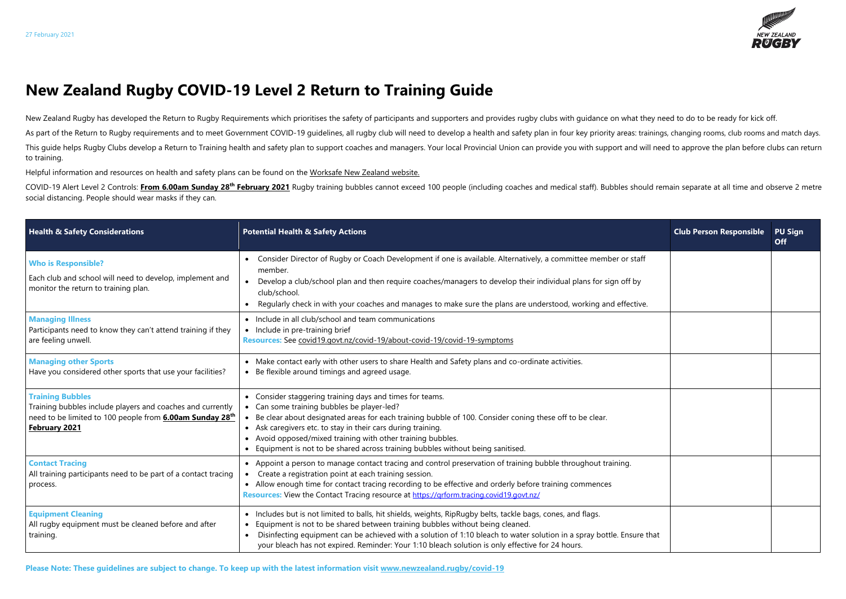

## **New Zealand Rugby COVID-19 Level 2 Return to Training Guide**

New Zealand Rugby has developed the Return to Rugby Requirements which prioritises the safety of participants and supporters and provides rugby clubs with guidance on what they need to do to be ready for kick off. As part of the Return to Rugby requirements and to meet Government COVID-19 quidelines, all rugby club will need to develop a health and safety plan in four key priority areas: trainings, changing rooms, club rooms and mat This guide helps Rugby Clubs develop a Return to Training health and safety plan to support coaches and managers. Your local Provincial Union can provide you with support and will need to approve the plan before clubs can to training.

COVID-19 Alert Level 2 Controls: From 6.00am Sunday 28<sup>th</sup> February 2021 Rugby training bubbles cannot exceed 100 people (including coaches and medical staff). Bubbles should remain separate at all time and observe 2 metre social distancing. People should wear masks if they can.

Helpful information and resources on health and safety plans can be found on the [Worksafe New Zealand website.](https://worksafe.govt.nz/managing-health-and-safety/novel-coronavirus-covid/operating-safely-at-alert-level-2-what-you-need-to-think-about/)

| <b>Health &amp; Safety Considerations</b>                                                                                                                                 | <b>Potential Health &amp; Safety Actions</b>                                                                                                                                                                                                                                                                                                                                                                                           | <b>Club Person Responsible</b> | <b>PU Sign</b><br><b>Off</b> |
|---------------------------------------------------------------------------------------------------------------------------------------------------------------------------|----------------------------------------------------------------------------------------------------------------------------------------------------------------------------------------------------------------------------------------------------------------------------------------------------------------------------------------------------------------------------------------------------------------------------------------|--------------------------------|------------------------------|
| <b>Who is Responsible?</b><br>Each club and school will need to develop, implement and<br>monitor the return to training plan.                                            | Consider Director of Rugby or Coach Development if one is available. Alternatively, a committee member or staff<br>member.<br>Develop a club/school plan and then require coaches/managers to develop their individual plans for sign off by<br>club/school.<br>Regularly check in with your coaches and manages to make sure the plans are understood, working and effective.                                                         |                                |                              |
| <b>Managing Illness</b><br>Participants need to know they can't attend training if they<br>are feeling unwell.                                                            | • Include in all club/school and team communications<br>• Include in pre-training brief<br>Resources: See covid19.govt.nz/covid-19/about-covid-19/covid-19-symptoms                                                                                                                                                                                                                                                                    |                                |                              |
| <b>Managing other Sports</b><br>Have you considered other sports that use your facilities?                                                                                | • Make contact early with other users to share Health and Safety plans and co-ordinate activities.<br>• Be flexible around timings and agreed usage.                                                                                                                                                                                                                                                                                   |                                |                              |
| <b>Training Bubbles</b><br>Training bubbles include players and coaches and currently<br>need to be limited to 100 people from <b>6.00am Sunday 28th</b><br>February 2021 | • Consider staggering training days and times for teams.<br>• Can some training bubbles be player-led?<br>• Be clear about designated areas for each training bubble of 100. Consider coning these off to be clear.<br>• Ask caregivers etc. to stay in their cars during training.<br>• Avoid opposed/mixed training with other training bubbles.<br>• Equipment is not to be shared across training bubbles without being sanitised. |                                |                              |
| <b>Contact Tracing</b><br>All training participants need to be part of a contact tracing<br>process.                                                                      | • Appoint a person to manage contact tracing and control preservation of training bubble throughout training.<br>Create a registration point at each training session.<br>• Allow enough time for contact tracing recording to be effective and orderly before training commences<br>Resources: View the Contact Tracing resource at https://grform.tracing.covid19.govt.nz/                                                           |                                |                              |
| <b>Equipment Cleaning</b><br>All rugby equipment must be cleaned before and after<br>training.                                                                            | • Includes but is not limited to balls, hit shields, weights, RipRugby belts, tackle bags, cones, and flags.<br>Equipment is not to be shared between training bubbles without being cleaned.<br>Disinfecting equipment can be achieved with a solution of 1:10 bleach to water solution in a spray bottle. Ensure that<br>your bleach has not expired. Reminder: Your 1:10 bleach solution is only effective for 24 hours.            |                                |                              |